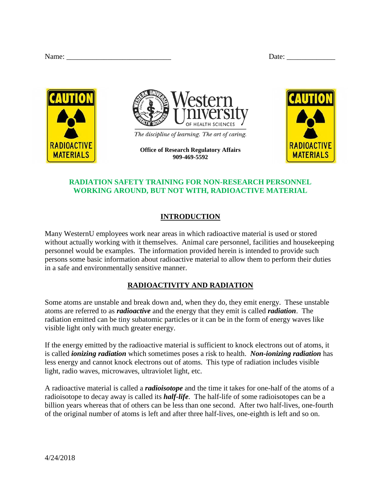| Name: | Jate <sup>.</sup> |  |
|-------|-------------------|--|
|       |                   |  |

| Name: |  |
|-------|--|
|       |  |





The discipline of learning. The art of caring.

**Office of Research Regulatory Affairs 909-469-5592**



# **RADIATION SAFETY TRAINING FOR NON-RESEARCH PERSONNEL WORKING AROUND, BUT NOT WITH, RADIOACTIVE MATERIAL**

# **INTRODUCTION**

Many WesternU employees work near areas in which radioactive material is used or stored without actually working with it themselves. Animal care personnel, facilities and housekeeping personnel would be examples. The information provided herein is intended to provide such persons some basic information about radioactive material to allow them to perform their duties in a safe and environmentally sensitive manner.

## **RADIOACTIVITY AND RADIATION**

Some atoms are unstable and break down and, when they do, they emit energy. These unstable atoms are referred to as *radioactive* and the energy that they emit is called *radiation*. The radiation emitted can be tiny subatomic particles or it can be in the form of energy waves like visible light only with much greater energy.

If the energy emitted by the radioactive material is sufficient to knock electrons out of atoms, it is called *ionizing radiation* which sometimes poses a risk to health. *Non-ionizing radiation* has less energy and cannot knock electrons out of atoms. This type of radiation includes visible light, radio waves, microwaves, ultraviolet light, etc.

A radioactive material is called a *radioisotope* and the time it takes for one-half of the atoms of a radioisotope to decay away is called its *half-life*. The half-life of some radioisotopes can be a billion years whereas that of others can be less than one second. After two half-lives, one-fourth of the original number of atoms is left and after three half-lives, one-eighth is left and so on.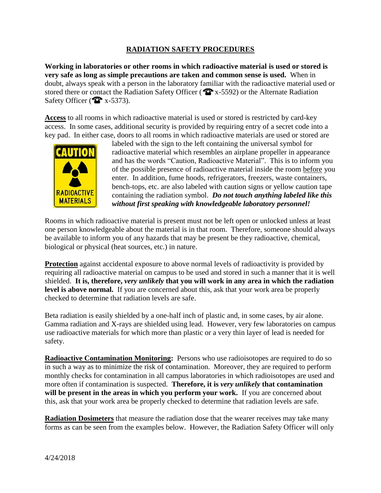## **RADIATION SAFETY PROCEDURES**

**Working in laboratories or other rooms in which radioactive material is used or stored is very safe as long as simple precautions are taken and common sense is used.** When in doubt, always speak with a person in the laboratory familiar with the radioactive material used or stored there or contact the Radiation Safety Officer ( $\hat{\mathbf{Q}}$  x-5592) or the Alternate Radiation Safety Officer ( $\bullet$  x-5373).

**Access** to all rooms in which radioactive material is used or stored is restricted by card-key access. In some cases, additional security is provided by requiring entry of a secret code into a key pad. In either case, doors to all rooms in which radioactive materials are used or stored are



labeled with the sign to the left containing the universal symbol for radioactive material which resembles an airplane propeller in appearance and has the words "Caution, Radioactive Material". This is to inform you of the possible presence of radioactive material inside the room before you enter. In addition, fume hoods, refrigerators, freezers, waste containers, bench-tops, etc. are also labeled with caution signs or yellow caution tape containing the radiation symbol. *Do not touch anything labeled like this without first speaking with knowledgeable laboratory personnel!*

Rooms in which radioactive material is present must not be left open or unlocked unless at least one person knowledgeable about the material is in that room. Therefore, someone should always be available to inform you of any hazards that may be present be they radioactive, chemical, biological or physical (heat sources, etc.) in nature.

**Protection** against accidental exposure to above normal levels of radioactivity is provided by requiring all radioactive material on campus to be used and stored in such a manner that it is well shielded. **It is, therefore,** *very unlikely* **that you will work in any area in which the radiation**  level is above normal. If you are concerned about this, ask that your work area be properly checked to determine that radiation levels are safe.

Beta radiation is easily shielded by a one-half inch of plastic and, in some cases, by air alone. Gamma radiation and X-rays are shielded using lead. However, very few laboratories on campus use radioactive materials for which more than plastic or a very thin layer of lead is needed for safety.

**Radioactive Contamination Monitoring:** Persons who use radioisotopes are required to do so in such a way as to minimize the risk of contamination. Moreover, they are required to perform monthly checks for contamination in all campus laboratories in which radioisotopes are used and more often if contamination is suspected. **Therefore, it is** *very unlikely* **that contamination will be present in the areas in which you perform your work.** If you are concerned about this, ask that your work area be properly checked to determine that radiation levels are safe.

**Radiation Dosimeters** that measure the radiation dose that the wearer receives may take many forms as can be seen from the examples below. However, the Radiation Safety Officer will only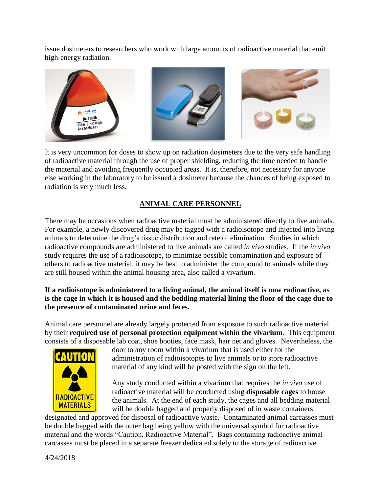issue dosimeters to researchers who work with large amounts of radioactive material that emit high-energy radiation.



It is very uncommon for doses to show up on radiation dosimeters due to the very safe handling of radioactive material through the use of proper shielding, reducing the time needed to handle the material and avoiding frequently occupied areas. It is, therefore, not necessary for anyone else working in the laboratory to be issued a dosimeter because the chances of being exposed to radiation is very much less.

## **ANIMAL CARE PERSONNEL**

There may be occasions when radioactive material must be administered directly to live animals. For example, a newly discovered drug may be tagged with a radioisotope and injected into living animals to determine the drug's tissue distribution and rate of elimination. Studies in which radioactive compounds are administered to live animals are called *in vivo* studies. If the *in vivo* study requires the use of a radioisotope, to minimize possible contamination and exposure of others to radioactive material, it may be best to administer the compound to animals while they are still housed within the animal housing area, also called a vivarium.

#### **If a radioisotope is administered to a living animal, the animal itself is now radioactive, as is the cage in which it is housed and the bedding material lining the floor of the cage due to the presence of contaminated urine and feces.**

Animal care personnel are already largely protected from exposure to such radioactive material by their **required use of personal protection equipment within the vivarium**. This equipment consists of a disposable lab coat, shoe booties, face mask, hair net and gloves. Nevertheless, the



door to any room within a vivarium that is used either for the administration of radioisotopes to live animals or to store radioactive material of any kind will be posted with the sign on the left.

Any study conducted within a vivarium that requires the *in vivo* use of radioactive material will be conducted using **disposable cages** to house the animals. At the end of each study, the cages and all bedding material will be double bagged and properly disposed of in waste containers

designated and approved for disposal of radioactive waste. Contaminated animal carcasses must be double bagged with the outer bag being yellow with the universal symbol for radioactive material and the words "Caution, Radioactive Material". Bags containing radioactive animal carcasses must be placed in a separate freezer dedicated solely to the storage of radioactive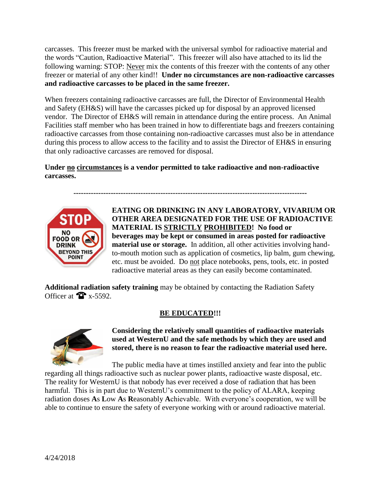carcasses. This freezer must be marked with the universal symbol for radioactive material and the words "Caution, Radioactive Material". This freezer will also have attached to its lid the following warning: STOP: Never mix the contents of this freezer with the contents of any other freezer or material of any other kind!! **Under no circumstances are non-radioactive carcasses and radioactive carcasses to be placed in the same freezer.**

When freezers containing radioactive carcasses are full, the Director of Environmental Health and Safety (EH&S) will have the carcasses picked up for disposal by an approved licensed vendor. The Director of EH&S will remain in attendance during the entire process. An Animal Facilities staff member who has been trained in how to differentiate bags and freezers containing radioactive carcasses from those containing non-radioactive carcasses must also be in attendance during this process to allow access to the facility and to assist the Director of EH&S in ensuring that only radioactive carcasses are removed for disposal.

**Under no circumstances is a vendor permitted to take radioactive and non-radioactive carcasses.**

**----------------------------------------------------------------------------------------------**



**EATING OR DRINKING IN ANY LABORATORY, VIVARIUM OR OTHER AREA DESIGNATED FOR THE USE OF RADIOACTIVE MATERIAL IS STRICTLY PROHIBITED! No food or beverages may be kept or consumed in areas posted for radioactive material use or storage.** In addition, all other activities involving handto-mouth motion such as application of cosmetics, lip balm, gum chewing, etc. must be avoided. Do not place notebooks, pens, tools, etc. in posted radioactive material areas as they can easily become contaminated.

**Additional radiation safety training** may be obtained by contacting the Radiation Safety Officer at  $\bullet$  x-5592.

## **BE EDUCATED!!!**



**Considering the relatively small quantities of radioactive materials used at WesternU and the safe methods by which they are used and stored, there is no reason to fear the radioactive material used here.**

The public media have at times instilled anxiety and fear into the public regarding all things radioactive such as nuclear power plants, radioactive waste disposal, etc. The reality for WesternU is that nobody has ever received a dose of radiation that has been harmful. This is in part due to WesternU's commitment to the policy of ALARA, keeping radiation doses **A**s **L**ow **A**s **R**easonably **A**chievable. With everyone's cooperation, we will be able to continue to ensure the safety of everyone working with or around radioactive material.